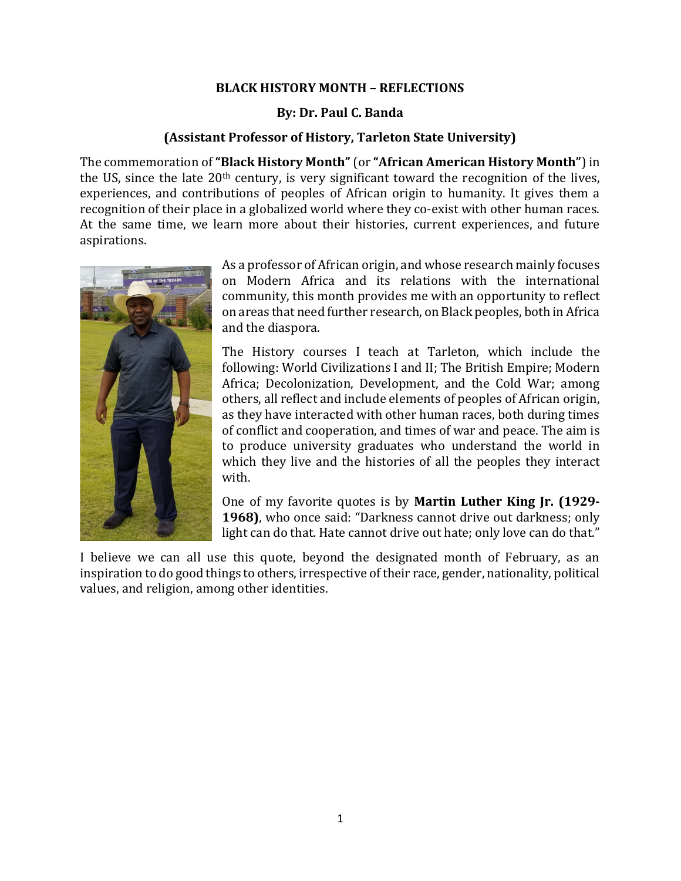## BLACK HISTORY MONTH – REFLECTIONS

## By: Dr. Paul C. Banda

## (Assistant Professor of History, Tarleton State University)

The commemoration of "Black History Month" (or "African American History Month") in the US, since the late  $20<sup>th</sup>$  century, is very significant toward the recognition of the lives, experiences, and contributions of peoples of African origin to humanity. It gives them a recognition of their place in a globalized world where they co-exist with other human races. At the same time, we learn more about their histories, current experiences, and future aspirations.



As a professor of African origin, and whose research mainly focuses on Modern Africa and its relations with the international community, this month provides me with an opportunity to reflect on areas that need further research, on Black peoples, both in Africa and the diaspora.

The History courses I teach at Tarleton, which include the following: World Civilizations I and II; The British Empire; Modern Africa; Decolonization, Development, and the Cold War; among others, all reflect and include elements of peoples of African origin, as they have interacted with other human races, both during times of conflict and cooperation, and times of war and peace. The aim is to produce university graduates who understand the world in which they live and the histories of all the peoples they interact with.

One of my favorite quotes is by Martin Luther King Jr. (1929- 1968), who once said: "Darkness cannot drive out darkness; only light can do that. Hate cannot drive out hate; only love can do that."

I believe we can all use this quote, beyond the designated month of February, as an inspiration to do good things to others, irrespective of their race, gender, nationality, political values, and religion, among other identities.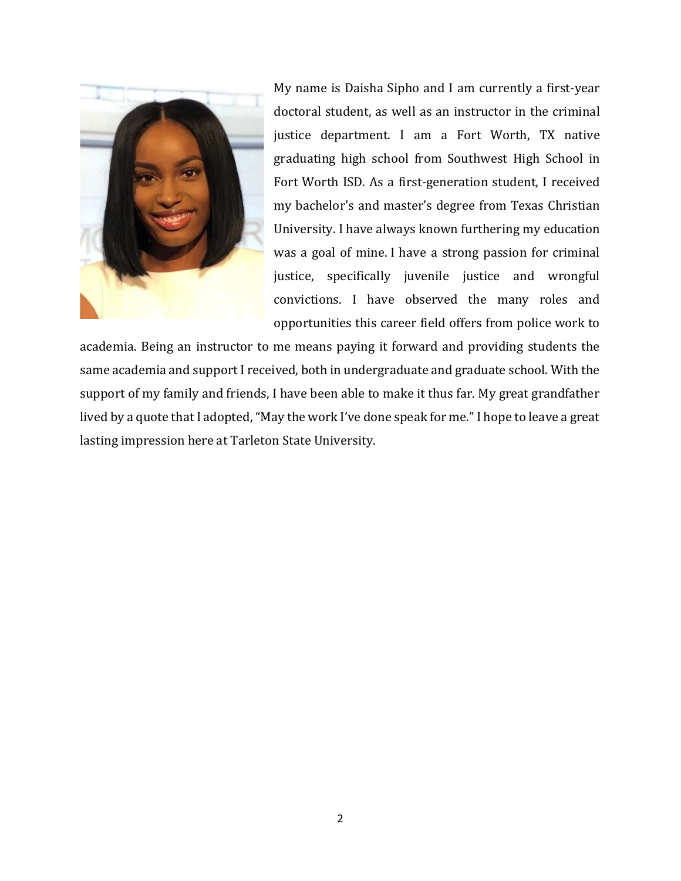

My name is Daisha Sipho and I am currently a first-year doctoral student, as well as an instructor in the criminal justice department. I am a Fort Worth, TX native graduating high school from Southwest High School in Fort Worth ISD. As a first-generation student, I received my bachelor's and master's degree from Texas Christian University. I have always known furthering my education was a goal of mine. I have a strong passion for criminal justice, specifically juvenile justice and wrongful convictions. I have observed the many roles and opportunities this career field offers from police work to

academia. Being an instructor to me means paying it forward and providing students the same academia and support I received, both in undergraduate and graduate school. With the support of my family and friends, I have been able to make it thus far. My great grandfather lived by a quote that I adopted, "May the work I've done speak for me." I hope to leave a great lasting impression here at Tarleton State University.